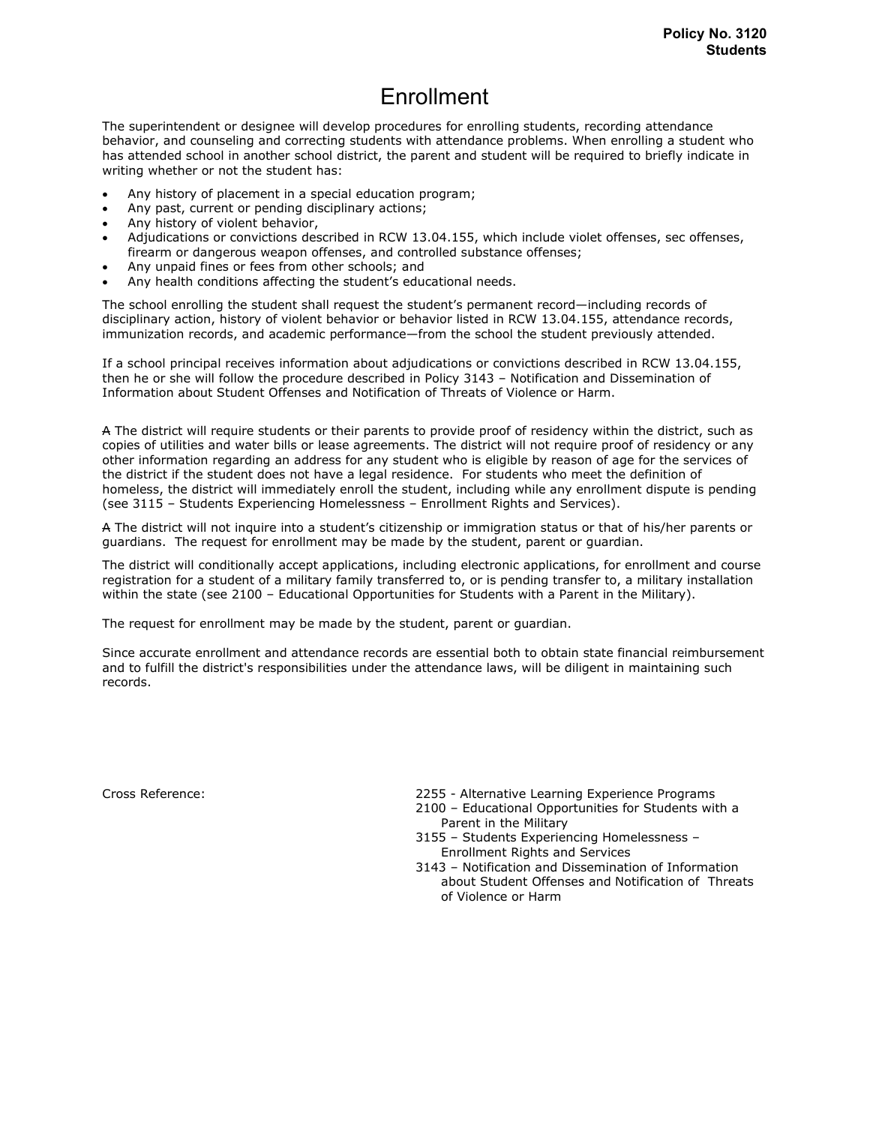## Enrollment

The superintendent or designee will develop procedures for enrolling students, recording attendance behavior, and counseling and correcting students with attendance problems. When enrolling a student who has attended school in another school district, the parent and student will be required to briefly indicate in writing whether or not the student has:

- Any history of placement in a special education program;
- Any past, current or pending disciplinary actions;
- Any history of violent behavior,
- Adjudications or convictions described in RCW 13.04.155, which include violet offenses, sec offenses, firearm or dangerous weapon offenses, and controlled substance offenses;
- Any unpaid fines or fees from other schools; and
- Any health conditions affecting the student's educational needs.

The school enrolling the student shall request the student's permanent record—including records of disciplinary action, history of violent behavior or behavior listed in RCW 13.04.155, attendance records, immunization records, and academic performance—from the school the student previously attended.

If a school principal receives information about adjudications or convictions described in RCW 13.04.155, then he or she will follow the procedure described in Policy 3143 – Notification and Dissemination of Information about Student Offenses and Notification of Threats of Violence or Harm.

A The district will require students or their parents to provide proof of residency within the district, such as copies of utilities and water bills or lease agreements. The district will not require proof of residency or any other information regarding an address for any student who is eligible by reason of age for the services of the district if the student does not have a legal residence. For students who meet the definition of homeless, the district will immediately enroll the student, including while any enrollment dispute is pending (see 3115 – Students Experiencing Homelessness – Enrollment Rights and Services).

A The district will not inquire into a student's citizenship or immigration status or that of his/her parents or guardians. The request for enrollment may be made by the student, parent or guardian.

The district will conditionally accept applications, including electronic applications, for enrollment and course registration for a student of a military family transferred to, or is pending transfer to, a military installation within the state (see 2100 – Educational Opportunities for Students with a Parent in the Military).

The request for enrollment may be made by the student, parent or guardian.

Since accurate enrollment and attendance records are essential both to obtain state financial reimbursement and to fulfill the district's responsibilities under the attendance laws, will be diligent in maintaining such records.

- Cross Reference: 2255 Alternative Learning Experience Programs
	- 2100 Educational Opportunities for Students with a Parent in the Military
	- 3155 Students Experiencing Homelessness Enrollment Rights and Services
	- 3143 Notification and Dissemination of Information about Student Offenses and Notification of Threats of Violence or Harm